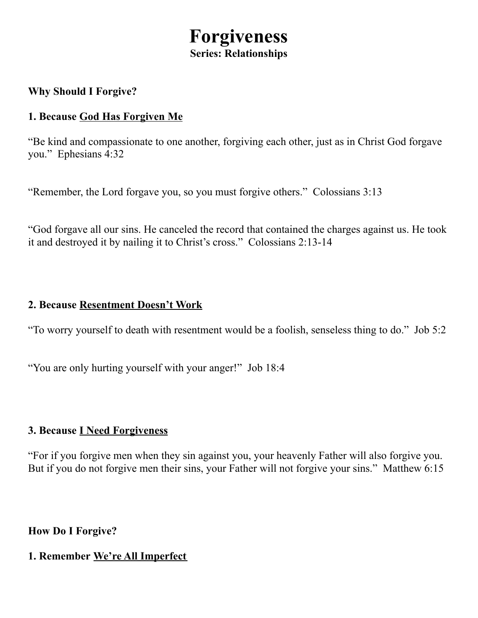# **Forgiveness Series: Relationships**

## **Why Should I Forgive?**

## **1. Because God Has Forgiven Me**

"Be kind and compassionate to one another, forgiving each other, just as in Christ God forgave you." Ephesians 4:32

"Remember, the Lord forgave you, so you must forgive others." Colossians 3:13

"God forgave all our sins. He canceled the record that contained the charges against us. He took it and destroyed it by nailing it to Christ's cross." Colossians 2:13-14

## **2. Because Resentment Doesn't Work**

"To worry yourself to death with resentment would be a foolish, senseless thing to do." Job 5:2

"You are only hurting yourself with your anger!" Job 18:4

### **3. Because I Need Forgiveness**

"For if you forgive men when they sin against you, your heavenly Father will also forgive you. But if you do not forgive men their sins, your Father will not forgive your sins." Matthew 6:15

**How Do I Forgive?**

**1. Remember We're All Imperfect**